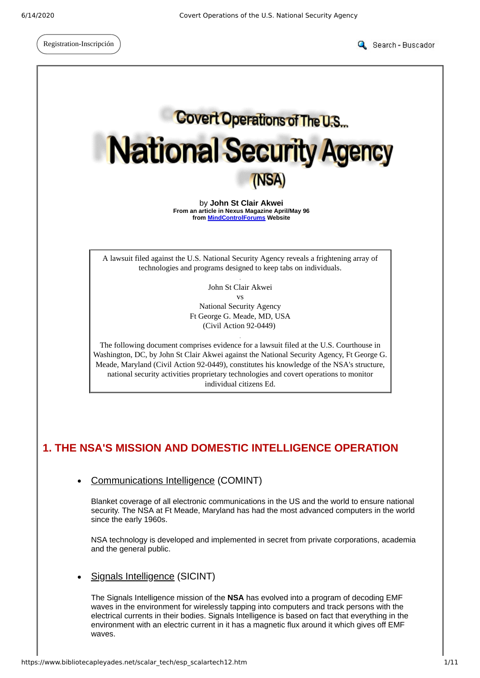[Registration-Inscripción](https://www.bibliotecapleyades.net/archivos_pdf/datiper/dat-per.htm)

**Q** Search - Buscador

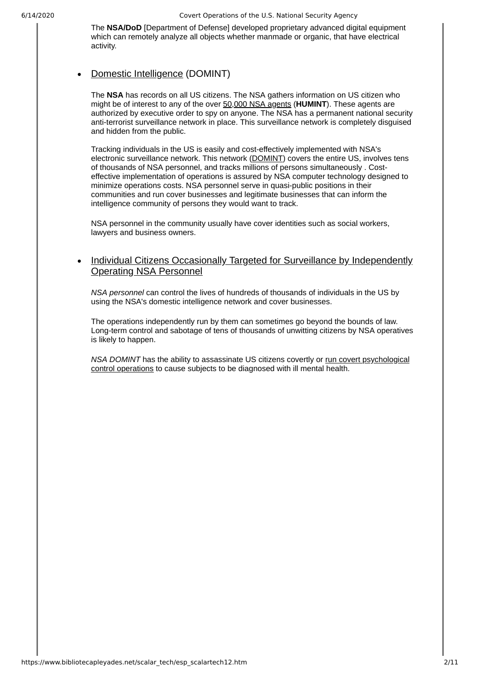The **NSA/DoD** [Department of Defense] developed proprietary advanced digital equipment which can remotely analyze all objects whether manmade or organic, that have electrical activity.

### Domestic Intelligence (DOMINT)

The **NSA** has records on all US citizens. The NSA gathers information on US citizen who might be of interest to any of the over 50,000 NSA agents (**HUMINT**). These agents are authorized by executive order to spy on anyone. The NSA has a permanent national security anti-terrorist surveillance network in place. This surveillance network is completely disguised and hidden from the public.

Tracking individuals in the US is easily and cost-effectively implemented with NSA's electronic surveillance network. This network (*DOMINT*) covers the entire US, involves tens of thousands of NSA personnel, and tracks millions of persons simultaneously . Costeffective implementation of operations is assured by NSA computer technology designed to minimize operations costs. NSA personnel serve in quasi-public positions in their communities and run cover businesses and legitimate businesses that can inform the intelligence community of persons they would want to track.

NSA personnel in the community usually have cover identities such as social workers, lawyers and business owners.

### Individual Citizens Occasionally Targeted for Surveillance by Independently Operating NSA Personnel

*NSA personnel* can control the lives of hundreds of thousands of individuals in the US by using the NSA's domestic intelligence network and cover businesses.

The operations independently run by them can sometimes go beyond the bounds of law. Long-term control and sabotage of tens of thousands of unwitting citizens by NSA operatives is likely to happen.

*NSA DOMINT* has the ability to assassinate US citizens covertly or run covert psychological control operations to cause subjects to be diagnosed with ill mental health.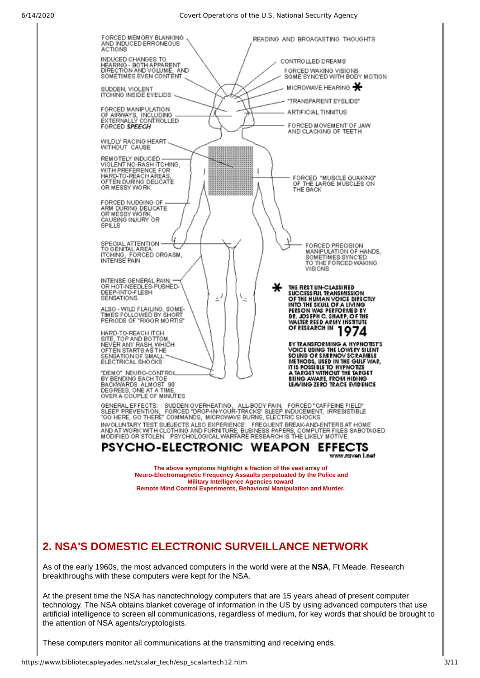

These computers monitor all communications at the transmitting and receiving ends.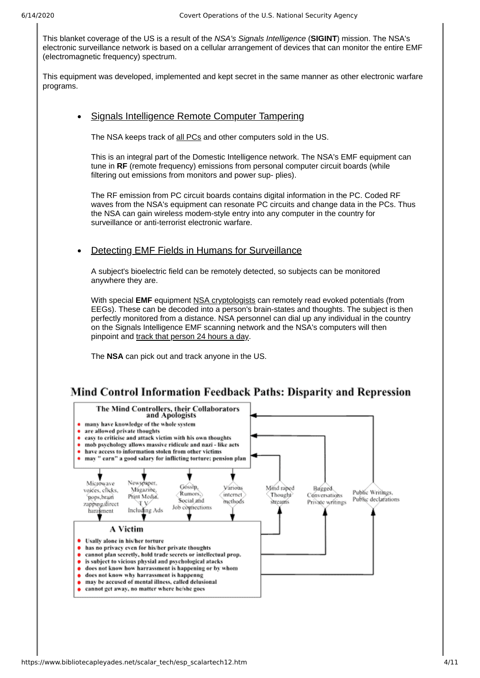This blanket coverage of the US is a result of the *NSA's Signals Intelligence* (**SIGINT**) mission. The NSA's electronic surveillance network is based on a cellular arrangement of devices that can monitor the entire EMF (electromagnetic frequency) spectrum.

This equipment was developed, implemented and kept secret in the same manner as other electronic warfare programs.

### Signals Intelligence Remote Computer Tampering

The NSA keeps track of all PCs and other computers sold in the US.

This is an integral part of the Domestic Intelligence network. The NSA's EMF equipment can tune in **RF** (remote frequency) emissions from personal computer circuit boards (while filtering out emissions from monitors and power sup- plies).

The RF emission from PC circuit boards contains digital information in the PC. Coded RF waves from the NSA's equipment can resonate PC circuits and change data in the PCs. Thus the NSA can gain wireless modem-style entry into any computer in the country for surveillance or anti-terrorist electronic warfare.

### Detecting EMF Fields in Humans for Surveillance

A subject's bioelectric field can be remotely detected, so subjects can be monitored anywhere they are.

With special **EMF** equipment NSA cryptologists can remotely read evoked potentials (from EEGs). These can be decoded into a person's brain-states and thoughts. The subject is then perfectly monitored from a distance. NSA personnel can dial up any individual in the country on the Signals Intelligence EMF scanning network and the NSA's computers will then pinpoint and track that person 24 hours a day.

The **NSA** can pick out and track anyone in the US.

## Mind Control Information Feedback Paths: Disparity and Repression

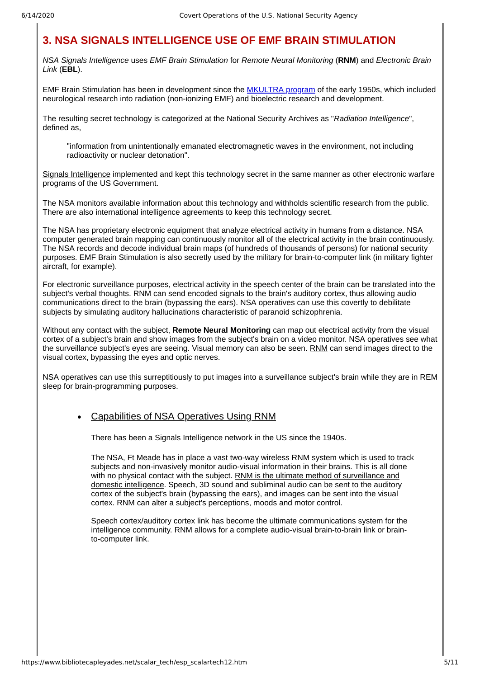## **3. NSA SIGNALS INTELLIGENCE USE OF EMF BRAIN STIMULATION**

*NSA Signals Intelligence* uses *EMF Brain Stimulation* for *Remote Neural Monitoring* (**RNM**) and *Electronic Brain Link* (**EBL**).

EMF Brain Stimulation has been in development since the [MKULTRA program](https://www.bibliotecapleyades.net/sociopolitica/esp_sociopol_mindcon02.htm) of the early 1950s, which included neurological research into radiation (non-ionizing EMF) and bioelectric research and development.

The resulting secret technology is categorized at the National Security Archives as "*Radiation Intelligence*", defined as,

"information from unintentionally emanated electromagnetic waves in the environment, not including radioactivity or nuclear detonation".

Signals Intelligence implemented and kept this technology secret in the same manner as other electronic warfare programs of the US Government.

The NSA monitors available information about this technology and withholds scientific research from the public. There are also international intelligence agreements to keep this technology secret.

The NSA has proprietary electronic equipment that analyze electrical activity in humans from a distance. NSA computer generated brain mapping can continuously monitor all of the electrical activity in the brain continuously. The NSA records and decode individual brain maps (of hundreds of thousands of persons) for national security purposes. EMF Brain Stimulation is also secretly used by the military for brain-to-computer link (in military fighter aircraft, for example).

For electronic surveillance purposes, electrical activity in the speech center of the brain can be translated into the subject's verbal thoughts. RNM can send encoded signals to the brain's auditory cortex, thus allowing audio communications direct to the brain (bypassing the ears). NSA operatives can use this covertly to debilitate subjects by simulating auditory hallucinations characteristic of paranoid schizophrenia.

Without any contact with the subject, **Remote Neural Monitoring** can map out electrical activity from the visual cortex of a subject's brain and show images from the subject's brain on a video monitor. NSA operatives see what the surveillance subject's eyes are seeing. Visual memory can also be seen. RNM can send images direct to the visual cortex, bypassing the eyes and optic nerves.

NSA operatives can use this surreptitiously to put images into a surveillance subject's brain while they are in REM sleep for brain-programming purposes.

### Capabilities of NSA Operatives Using RNM

There has been a Signals Intelligence network in the US since the 1940s.

The NSA, Ft Meade has in place a vast two-way wireless RNM system which is used to track subjects and non-invasively monitor audio-visual information in their brains. This is all done with no physical contact with the subject. RNM is the ultimate method of surveillance and domestic intelligence. Speech, 3D sound and subliminal audio can be sent to the auditory cortex of the subject's brain (bypassing the ears), and images can be sent into the visual cortex. RNM can alter a subject's perceptions, moods and motor control.

Speech cortex/auditory cortex link has become the ultimate communications system for the intelligence community. RNM allows for a complete audio-visual brain-to-brain link or brainto-computer link.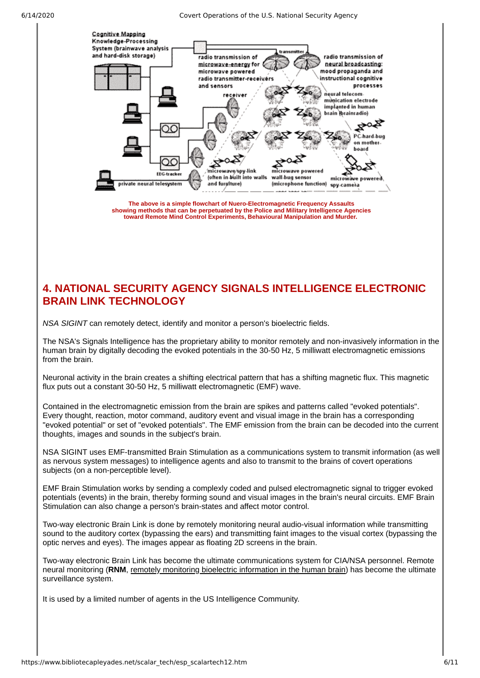

**[The above is a simple flowchart of Nuero-Electromagnetic Frequency Assaults](http://web.archive.org/web/20040405081830/http:/members.tripod.com/mdars/meth/meth.htm) showing methods that can be perpetuated by the Police and Military Intelligence Agencies toward Remote Mind Control Experiments, Behavioural Manipulation and Murder.** 

## **4. NATIONAL SECURITY AGENCY SIGNALS INTELLIGENCE ELECTRONIC BRAIN LINK TECHNOLOGY**

*NSA SIGINT* can remotely detect, identify and monitor a person's bioelectric fields.

The NSA's Signals Intelligence has the proprietary ability to monitor remotely and non-invasively information in the human brain by digitally decoding the evoked potentials in the 30-50 Hz, 5 milliwatt electromagnetic emissions from the brain.

Neuronal activity in the brain creates a shifting electrical pattern that has a shifting magnetic flux. This magnetic flux puts out a constant 30-50 Hz, 5 milliwatt electromagnetic (EMF) wave.

Contained in the electromagnetic emission from the brain are spikes and patterns called "evoked potentials". Every thought, reaction, motor command, auditory event and visual image in the brain has a corresponding "evoked potential" or set of "evoked potentials". The EMF emission from the brain can be decoded into the current thoughts, images and sounds in the subject's brain.

NSA SIGINT uses EMF-transmitted Brain Stimulation as a communications system to transmit information (as well as nervous system messages) to intelligence agents and also to transmit to the brains of covert operations subjects (on a non-perceptible level).

EMF Brain Stimulation works by sending a complexly coded and pulsed electromagnetic signal to trigger evoked potentials (events) in the brain, thereby forming sound and visual images in the brain's neural circuits. EMF Brain Stimulation can also change a person's brain-states and affect motor control.

Two-way electronic Brain Link is done by remotely monitoring neural audio-visual information while transmitting sound to the auditory cortex (bypassing the ears) and transmitting faint images to the visual cortex (bypassing the optic nerves and eyes). The images appear as floating 2D screens in the brain.

Two-way electronic Brain Link has become the ultimate communications system for CIA/NSA personnel. Remote neural monitoring (**RNM**, remotely monitoring bioelectric information in the human brain) has become the ultimate surveillance system.

It is used by a limited number of agents in the US Intelligence Community.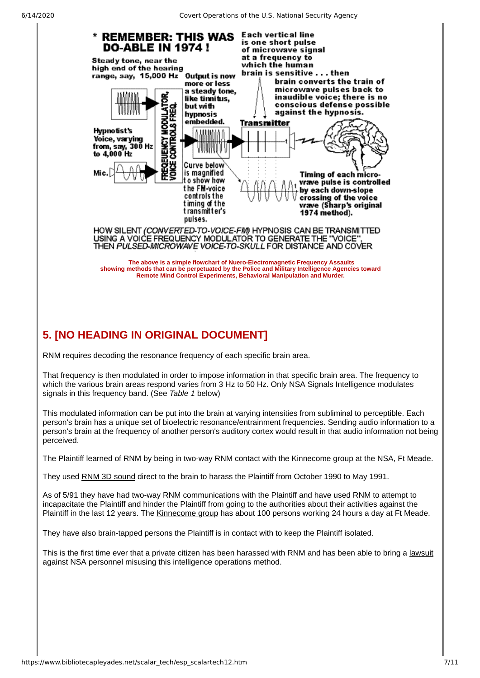6/14/2020 Covert Operations of the U.S. National Security Agency



This modulated information can be put into the brain at varying intensities from subliminal to perceptible. Each person's brain has a unique set of bioelectric resonance/entrainment frequencies. Sending audio information to a person's brain at the frequency of another person's auditory cortex would result in that audio information not being perceived.

The Plaintiff learned of RNM by being in two-way RNM contact with the Kinnecome group at the NSA, Ft Meade.

They used RNM 3D sound direct to the brain to harass the Plaintiff from October 1990 to May 1991.

As of 5/91 they have had two-way RNM communications with the Plaintiff and have used RNM to attempt to incapacitate the Plaintiff and hinder the Plaintiff from going to the authorities about their activities against the Plaintiff in the last 12 years. The Kinnecome group has about 100 persons working 24 hours a day at Ft Meade.

They have also brain-tapped persons the Plaintiff is in contact with to keep the Plaintiff isolated.

This is the first time ever that a private citizen has been harassed with RNM and has been able to bring a lawsuit against NSA personnel misusing this intelligence operations method.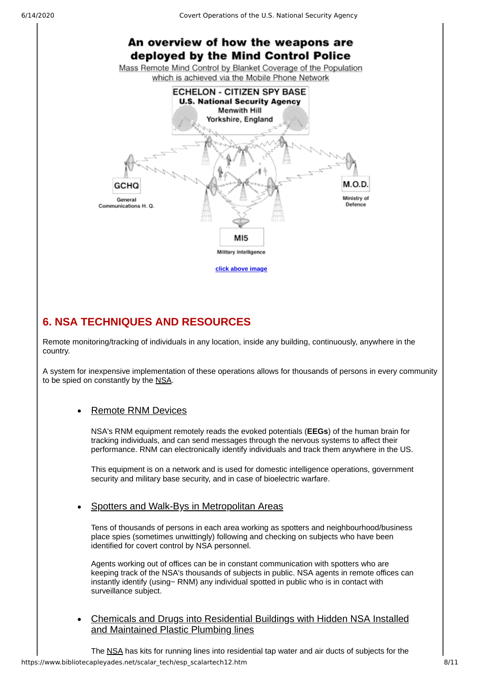

# **6. NSA TECHNIQUES AND RESOURCES**

Remote monitoring/tracking of individuals in any location, inside any building, continuously, anywhere in the country.

A system for inexpensive implementation of these operations allows for thousands of persons in every community to be spied on constantly by the NSA.

### Remote RNM Devices

NSA's RNM equipment remotely reads the evoked potentials (**EEGs**) of the human brain for tracking individuals, and can send messages through the nervous systems to affect their performance. RNM can electronically identify individuals and track them anywhere in the US.

This equipment is on a network and is used for domestic intelligence operations, government security and military base security, and in case of bioelectric warfare.

### Spotters and Walk-Bys in Metropolitan Areas

Tens of thousands of persons in each area working as spotters and neighbourhood/business place spies (sometimes unwittingly) following and checking on subjects who have been identified for covert control by NSA personnel.

Agents working out of offices can be in constant communication with spotters who are keeping track of the NSA's thousands of subjects in public. NSA agents in remote offices can instantly identify (using~ RNM) any individual spotted in public who is in contact with surveillance subject.

Chemicals and Drugs into Residential Buildings with Hidden NSA Installed and Maintained Plastic Plumbing lines

https://www.bibliotecapleyades.net/scalar\_tech/esp\_scalartech12.htm 8/11 The NSA has kits for running lines into residential tap water and air ducts of subjects for the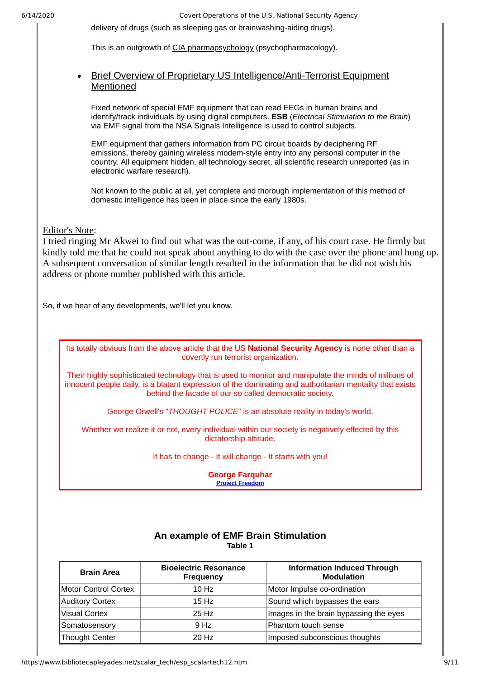6/14/2020 Covert Operations of the U.S. National Security Agency

delivery of drugs (such as sleeping gas or brainwashing-aiding drugs).

This is an outgrowth of CIA pharmapsychology (psychopharmacology).

### Brief Overview of Proprietary US Intelligence/Anti-Terrorist Equipment Mentioned

Fixed network of special EMF equipment that can read EEGs in human brains and identify/track individuals by using digital computers. **ESB** (*Electrical Stimulation to the Brain*) via EMF signal from the NSA Signals Intelligence is used to control subjects.

EMF equipment that gathers information from PC circuit boards by deciphering RF emissions, thereby gaining wireless modem-style entry into any personal computer in the country. All equipment hidden, all technology secret, all scientific research unreported (as in electronic warfare research).

Not known to the public at all, yet complete and thorough implementation of this method of domestic intelligence has been in place since the early 1980s.

#### Editor's Note:

I tried ringing Mr Akwei to find out what was the out-come, if any, of his court case. He firmly but kindly told me that he could not speak about anything to do with the case over the phone and hung up. A subsequent conversation of similar length resulted in the information that he did not wish his address or phone number published with this article.

So, if we hear of any developments, we'll let you know.

Its totally obvious from the above article that the US **National Security Agency** is none other than a covertly run terrorist organization.

Their highly sophisticated technology that is used to monitor and manipulate the minds of millions of innocent people daily, is a blatant expression of the dominating and authoritarian mentality that exists behind the facade of our so called democratic society.

George Orwell's "*THOUGHT POLICE*" is an absolute reality in today's world.

Whether we realize it or not, every individual within our society is negatively effected by this dictatorship attitude.

It has to change - It will change - It starts with you!

**George Farquhar [Project Freedom](http://www.mindcontrolforums.com/pro-freedom.co.uk/index.html)**

#### **An example of EMF Brain Stimulation Table 1**

| <b>Brain Area</b>    | <b>Bioelectric Resonance</b><br><b>Frequency</b> | <b>Information Induced Through</b><br><b>Modulation</b> |
|----------------------|--------------------------------------------------|---------------------------------------------------------|
| Motor Control Cortex | 10 Hz                                            | Motor Impulse co-ordination                             |
| Auditory Cortex      | 15 Hz                                            | Sound which bypasses the ears                           |
| Visual Cortex        | 25 Hz                                            | Images in the brain bypassing the eyes                  |
| Somatosensory        | 9 Hz                                             | Phantom touch sense                                     |
| Thought Center       | 20 Hz                                            | Imposed subconscious thoughts                           |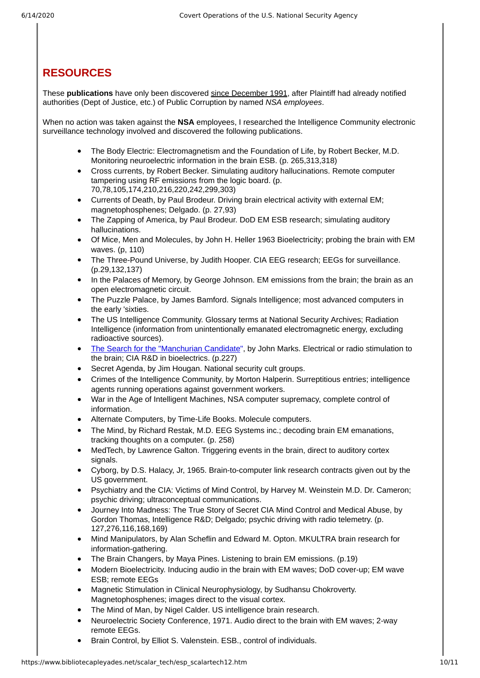## **RESOURCES**

These **publications** have only been discovered since December 1991, after Plaintiff had already notified authorities (Dept of Justice, etc.) of Public Corruption by named *NSA employees*.

When no action was taken against the **NSA** employees, I researched the Intelligence Community electronic surveillance technology involved and discovered the following publications.

- The Body Electric: Electromagnetism and the Foundation of Life, by Robert Becker, M.D. Monitoring neuroelectric information in the brain ESB. (p. 265,313,318)
- Cross currents, by Robert Becker. Simulating auditory hallucinations. Remote computer tampering using RF emissions from the logic board. (p. 70,78,105,174,210,216,220,242,299,303)
- Currents of Death, by Paul Brodeur. Driving brain electrical activity with external EM; magnetophosphenes; Delgado. (p. 27,93)
- The Zapping of America, by Paul Brodeur. DoD EM ESB research; simulating auditory hallucinations.
- Of Mice, Men and Molecules, by John H. Heller 1963 Bioelectricity; probing the brain with EM waves. (p, 110)
- The Three-Pound Universe, by Judith Hooper. CIA EEG research; EEGs for surveillance. (p.29,132,137)
- In the Palaces of Memory, by George Johnson. EM emissions from the brain; the brain as an open electromagnetic circuit.
- The Puzzle Palace, by James Bamford. Signals Intelligence; most advanced computers in the early 'sixties.
- The US Intelligence Community. Glossary terms at National Security Archives; Radiation Intelligence (information from unintentionally emanated electromagnetic energy, excluding radioactive sources).
- [The Search for the "Manchurian Candidate](https://www.bibliotecapleyades.net/sociopolitica/manchurian/marks.htm)", by John Marks. Electrical or radio stimulation to the brain; CIA R&D in bioelectrics. (p.227)
- Secret Agenda, by Jim Hougan. National security cult groups.
- Crimes of the Intelligence Community, by Morton Halperin. Surreptitious entries; intelligence agents running operations against government workers.
- War in the Age of Intelligent Machines, NSA computer supremacy, complete control of information.
- Alternate Computers, by Time-Life Books. Molecule computers.
- The Mind, by Richard Restak, M.D. EEG Systems inc.; decoding brain EM emanations, tracking thoughts on a computer. (p. 258)
- MedTech, by Lawrence Galton. Triggering events in the brain, direct to auditory cortex signals.
- Cyborg, by D.S. Halacy, Jr, 1965. Brain-to-computer link research contracts given out by the US government.
- Psychiatry and the CIA: Victims of Mind Control, by Harvey M. Weinstein M.D. Dr. Cameron; psychic driving; ultraconceptual communications.
- Journey Into Madness: The True Story of Secret CIA Mind Control and Medical Abuse, by Gordon Thomas, Intelligence R&D; Delgado; psychic driving with radio telemetry. (p. 127,276,116,168,169)
- Mind Manipulators, by Alan Scheflin and Edward M. Opton. MKULTRA brain research for information-gathering.
- The Brain Changers, by Maya Pines. Listening to brain EM emissions. (p.19)
- Modern Bioelectricity. Inducing audio in the brain with EM waves; DoD cover-up; EM wave ESB; remote EEGs
- Magnetic Stimulation in Clinical Neurophysiology, by Sudhansu Chokroverty. Magnetophosphenes; images direct to the visual cortex.
- The Mind of Man, by Nigel Calder. US intelligence brain research.
- Neuroelectric Society Conference, 1971. Audio direct to the brain with EM waves; 2-way remote EEGs.
- Brain Control, by Elliot S. Valenstein. ESB., control of individuals.